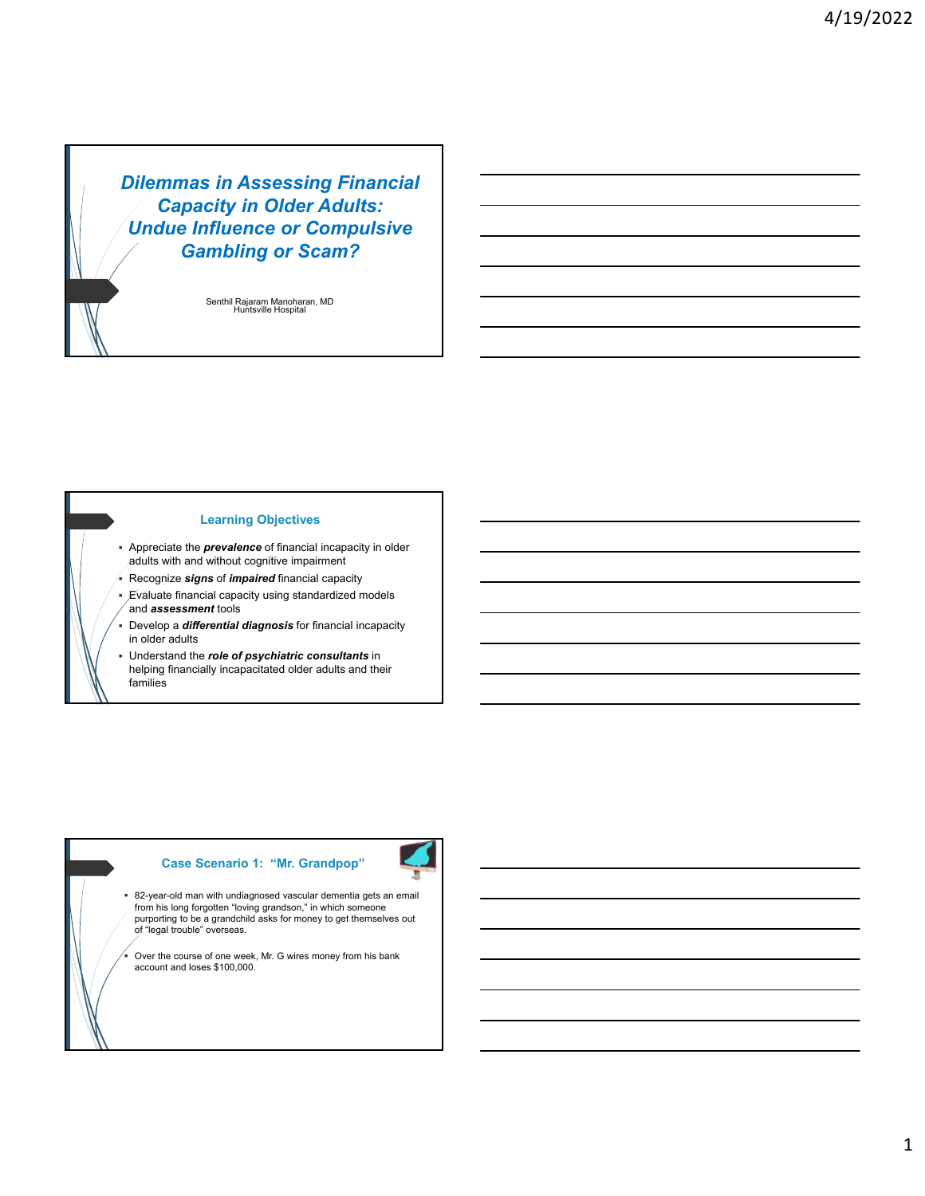*Dilemmas in Assessing Financial Capacity in Older Adults: Undue Influence or Compulsive Gambling or Scam?*

> Senthil Rajaram Manoharan, MD Huntsville Hospital

## **Learning Objectives**

- Appreciate the *prevalence* of financial incapacity in older adults with and without cognitive impairment
- Recognize *signs* of *impaired* financial capacity
- Evaluate financial capacity using standardized models and *assessment* tools
- Develop a *differential diagnosis* for financial incapacity in older adults
- Understand the *role of psychiatric consultants* in helping financially incapacitated older adults and their families

# **Case Scenario 1: "Mr. Grandpop"**



 82-year-old man with undiagnosed vascular dementia gets an email from his long forgotten "loving grandson," in which someone purporting to be a grandchild asks for money to get themselves out of "legal trouble" overseas.

 Over the course of one week, Mr. G wires money from his bank account and loses \$100,000.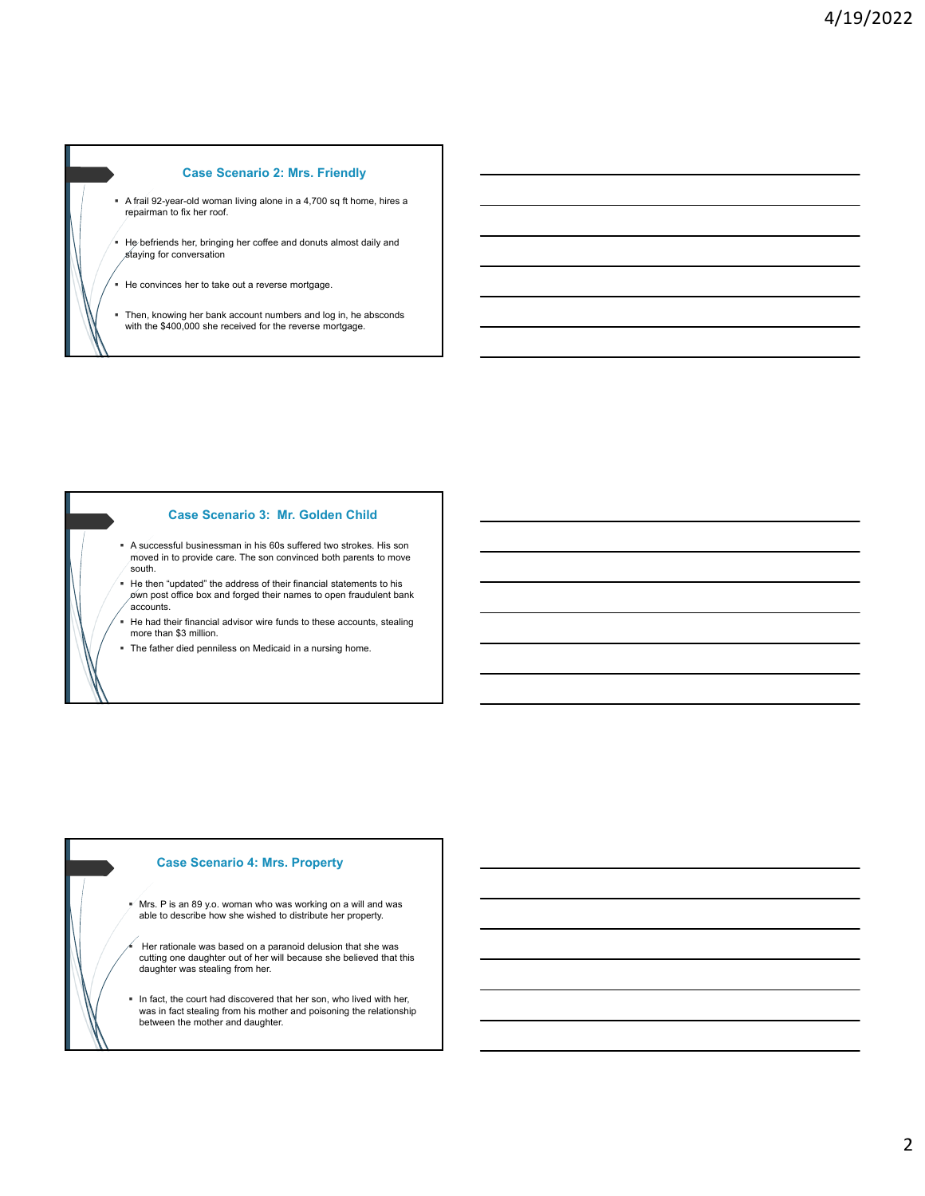## **Case Scenario 2: Mrs. Friendly**

- A frail 92-year-old woman living alone in a 4,700 sq ft home, hires a repairman to fix her roof.
- He befriends her, bringing her coffee and donuts almost daily and staying for conversation
- He convinces her to take out a reverse mortgage.
- Then, knowing her bank account numbers and log in, he absconds with the \$400,000 she received for the reverse mortgage.

#### **Case Scenario 3: Mr. Golden Child**

- A successful businessman in his 60s suffered two strokes. His son moved in to provide care. The son convinced both parents to move south.
- He then "updated" the address of their financial statements to his  $\delta$ wn post office box and forged their names to open fraudulent bank accounts.
- He had their financial advisor wire funds to these accounts, stealing more than \$3 million.
- The father died penniless on Medicaid in a nursing home.

## **Case Scenario 4: Mrs. Property**

- $M$  Mrs. P is an 89 y.o. woman who was working on a will and was able to describe how she wished to distribute her property.
- Her rationale was based on a paranoid delusion that she was cutting one daughter out of her will because she believed that this daughter was stealing from her.
- $\blacksquare$  In fact, the court had discovered that her son, who lived with her, was in fact stealing from his mother and poisoning the relationship between the mother and daughter.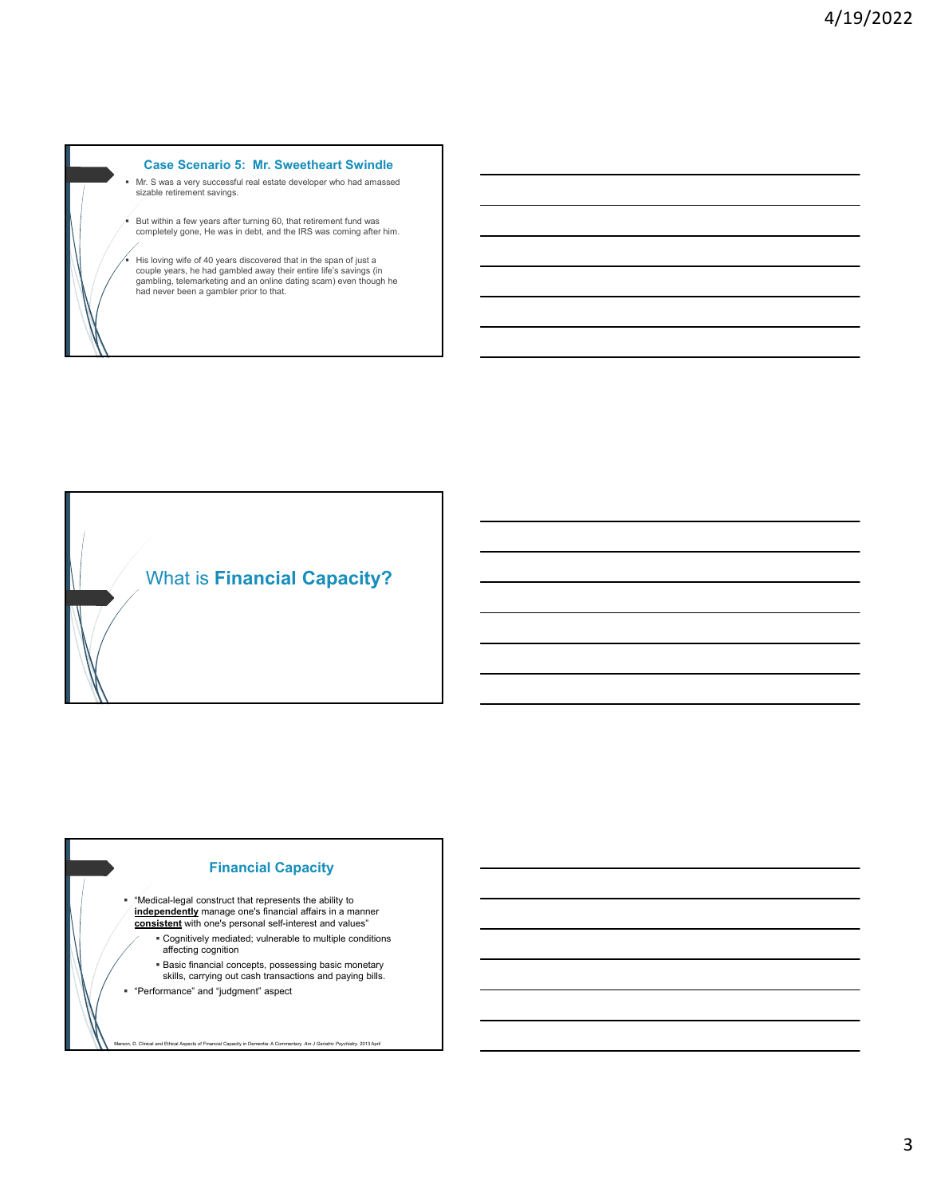## **Case Scenario 5: Mr. Sweetheart Swindle**

 Mr. S was a very successful real estate developer who had amassed sizable retirement savings.

But within a few years after turning 60, that retirement fund was completely gone, He was in debt, and the IRS was coming after him.

 His loving wife of 40 years discovered that in the span of just a couple years, he had gambled away their entire life's savings (in gambling, telemarketing and an online dating scam) even though he had never been a gambler prior to that.

What is **Financial Capacity?** 

# **Financial Capacity**

- "Medical-legal construct that represents the ability to **independently** manage one's financial affairs in a manner **consistent** with one's personal self-interest and values"
	- Cognitively mediated; vulnerable to multiple conditions affecting cognition
	- **Basic financial concepts, possessing basic monetary**
	- skills, carrying out cash transactions and paying bills.

Marson, D. Clinical and Ethical Aspects of Financial Capacity in Dementia: A Commentary. *Am J Geriatric Psychiatry.* 2013 April

"Performance" and "judgment" aspect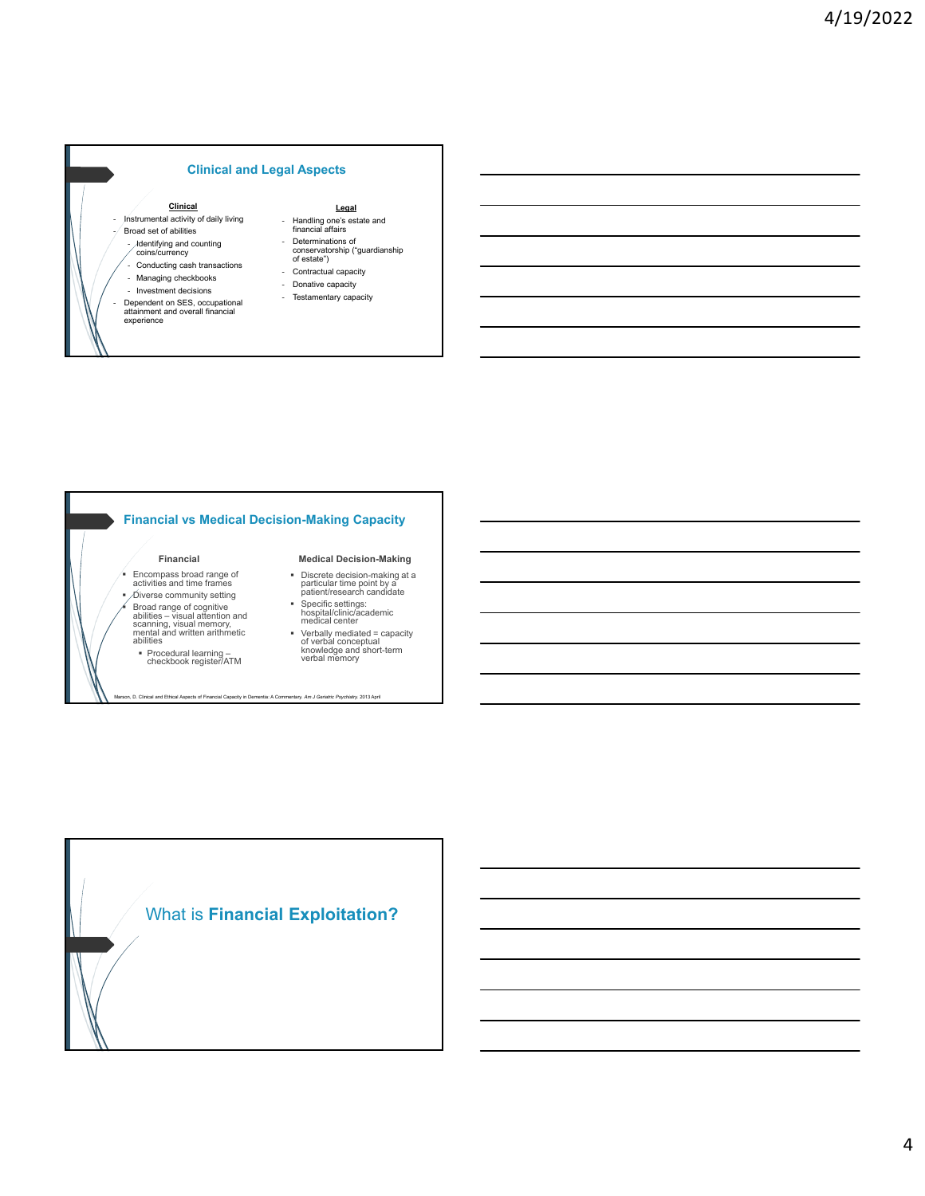## **Clinical and Legal Aspects**

#### **Clinical**

- Instrumental activity of daily living - Broad set of abilities
- 
- Identifying and counting coins/currency
- Conducting cash transactions
- Managing checkbooks
- Investment decisions

experience

- Dependent on SES, occupational attainment and overall financial

## **Legal**

- Handling one's estate and financial affairs
- Determinations of
- conservatorship ("guardianship of estate")
- Contractual capacity
- Donative capacity
- Testamentary capacity

## **Financial vs Medical Decision-Making Capacity**

Marson, D. Clinical and Ethical Aspects of Financial Capacity in Dementia: A Commentary. *Am J Geriatric Psychiatry.* 2013 April

#### **Financial**

- Encompass broad range of activities and time frames
- Diverse community setting Broad range of cognitive abilities – visual attention and scanning, visual memory, mental and written arithmetic abilities
	- Procedural learning checkbook register/ATM

#### **Medical Decision-Making**

- Discrete decision-making at a particular time point by a patient/research candidate
- Specific settings: hospital/clinic/academic medical center
- Verbally mediated = capacity of verbal conceptual knowledge and short-term verbal memory

# What is **Financial Exploitation?**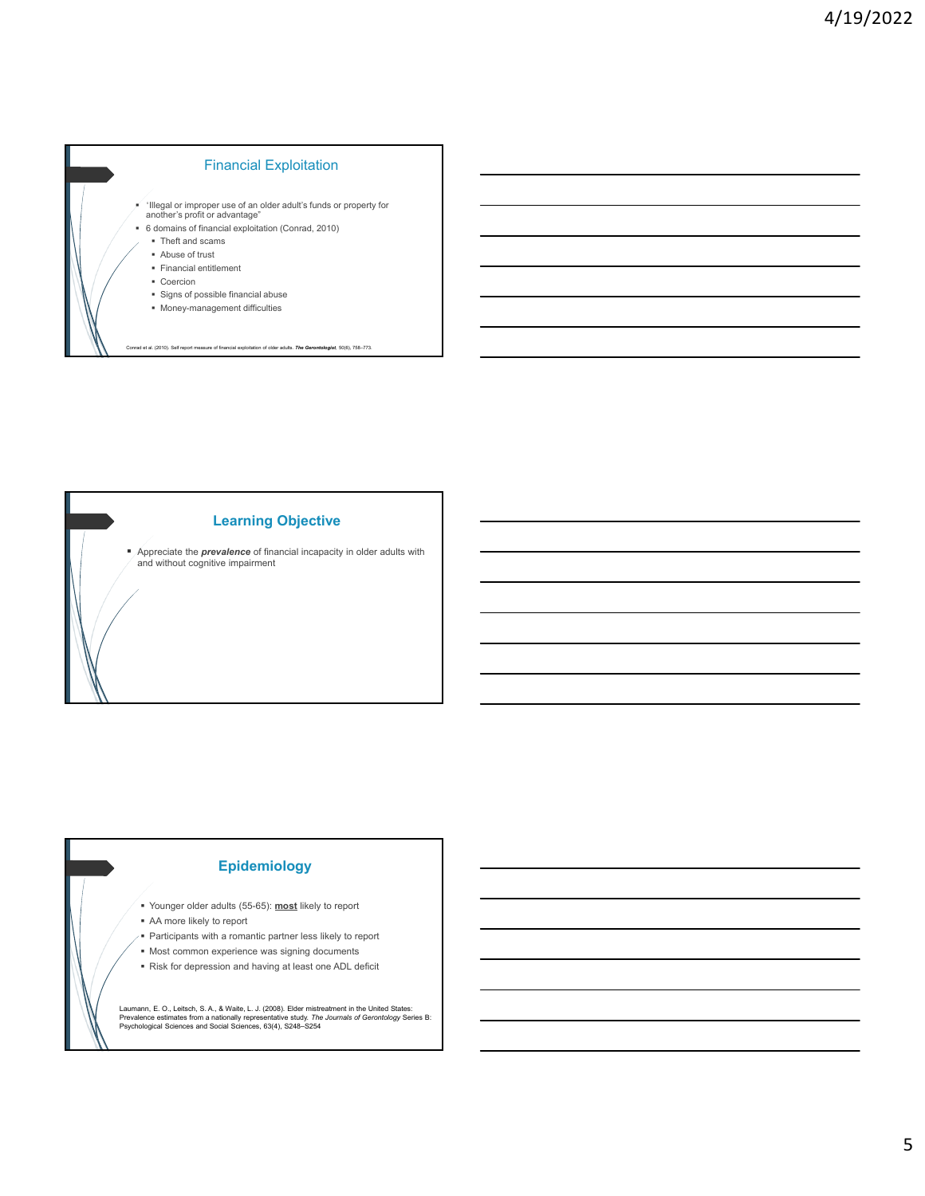



# **Epidemiology**

- Younger older adults (55-65): **most** likely to report
- AA more likely to report
- **Participants with a romantic partner less likely to report**
- $\blacksquare$  Most common experience was signing documents
- Risk for depression and having at least one ADL deficit

Laumann, E. O., Leitsch, S. A., & Waite, L. J. (2008). Elder mistreatment in the United States:<br>Prevalence estimates from a nationally representative study. *The Journals of Gerontology S*eries B:<br>Psychological Sciences an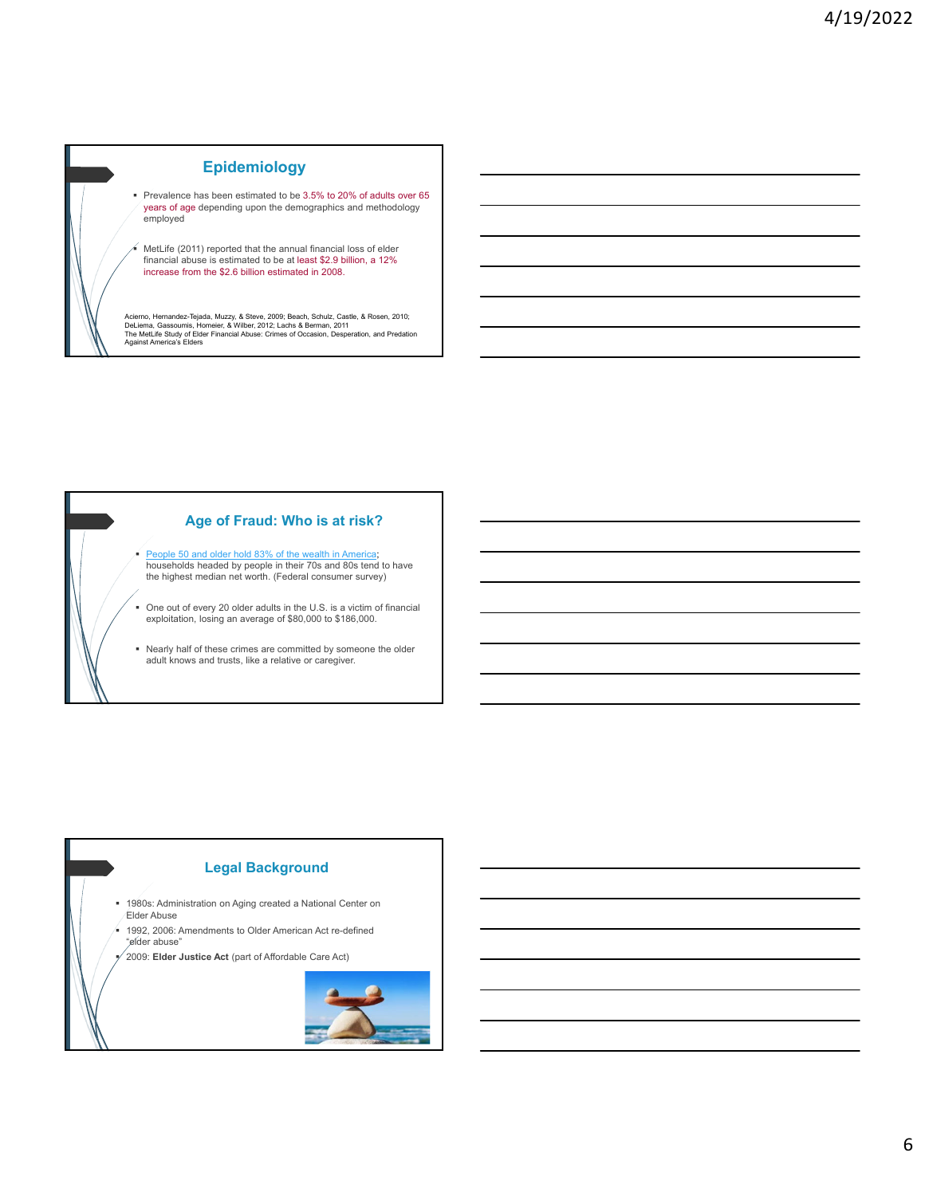# **Epidemiology**

 Prevalence has been estimated to be 3.5% to 20% of adults over 65 years of age depending upon the demographics and methodology employed

 MetLife (2011) reported that the annual financial loss of elder financial abuse is estimated to be at least \$2.9 billion, a 12% increase from the \$2.6 billion estimated in 2008.

Acierno, Hernandez-Tejada, Muzzy, & Steve, 2009; Beach, Schulz, Castle, & Rosen, 2010;<br>DeLiema, Gassoumis, Homeier, & Wilber, 2012; Lachs & Berman, 2011<br>The MetLife Study of Elder Financial Abuse: Crimes of Occasion, Despe



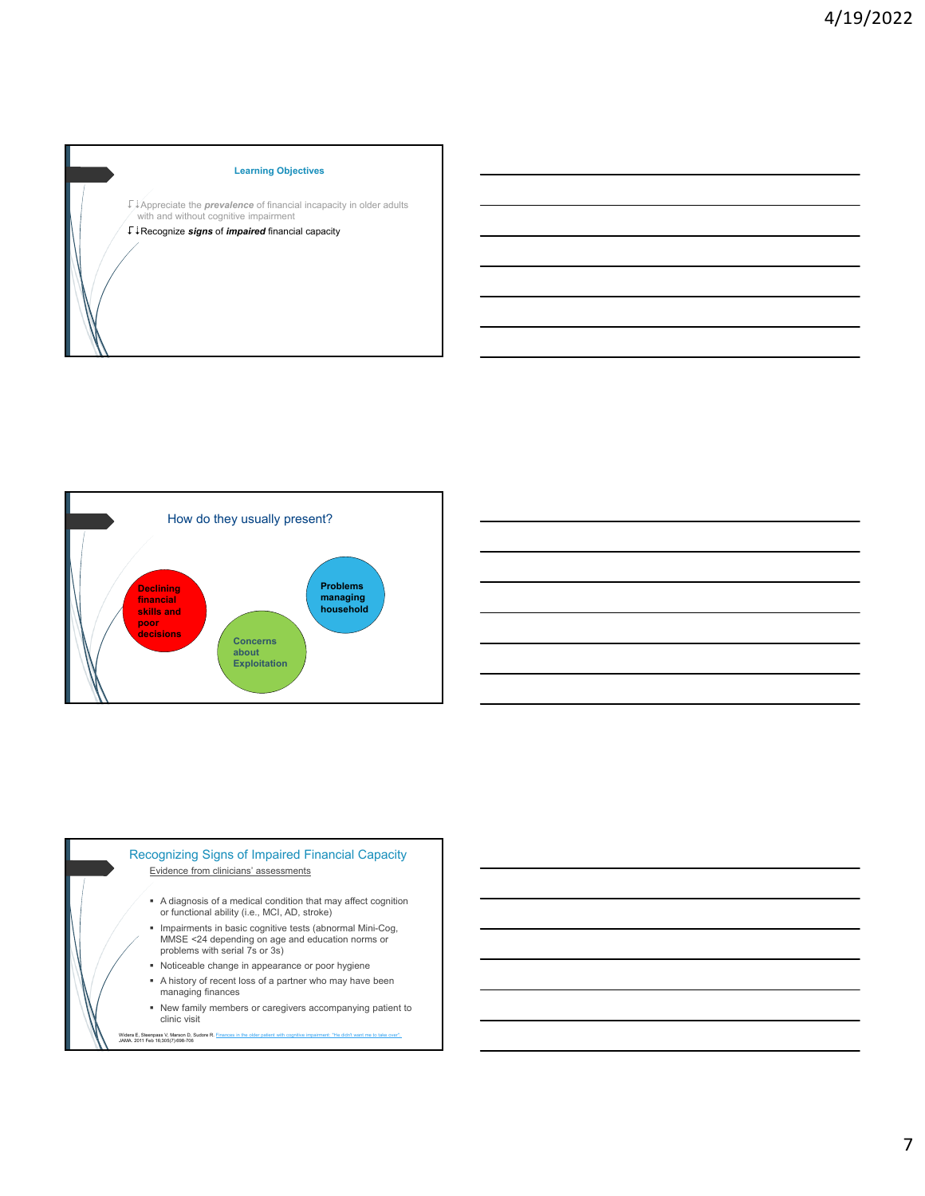



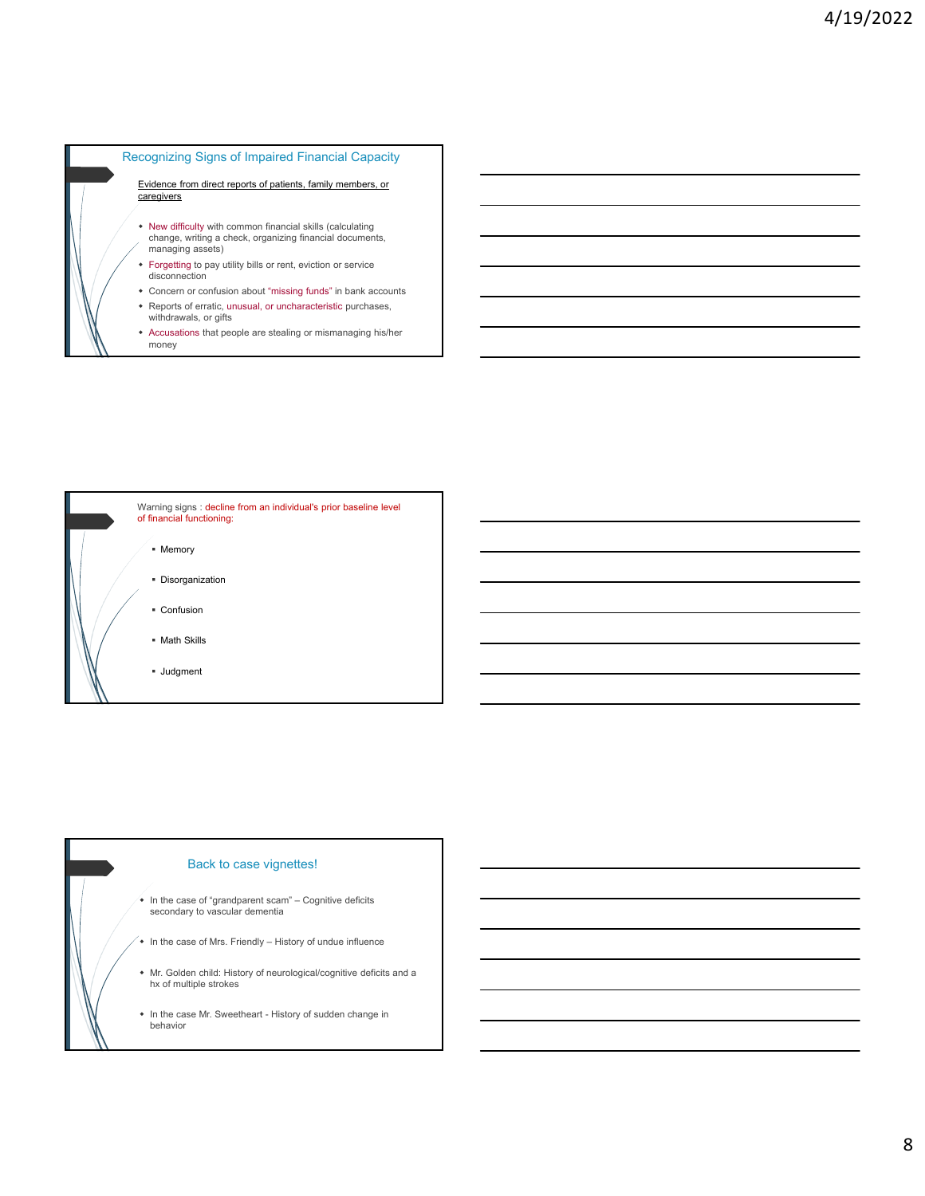

- Reports of erratic, unusual, or uncharacteristic purchases, withdrawals, or gifts
- Accusations that people are stealing or mismanaging his/her money



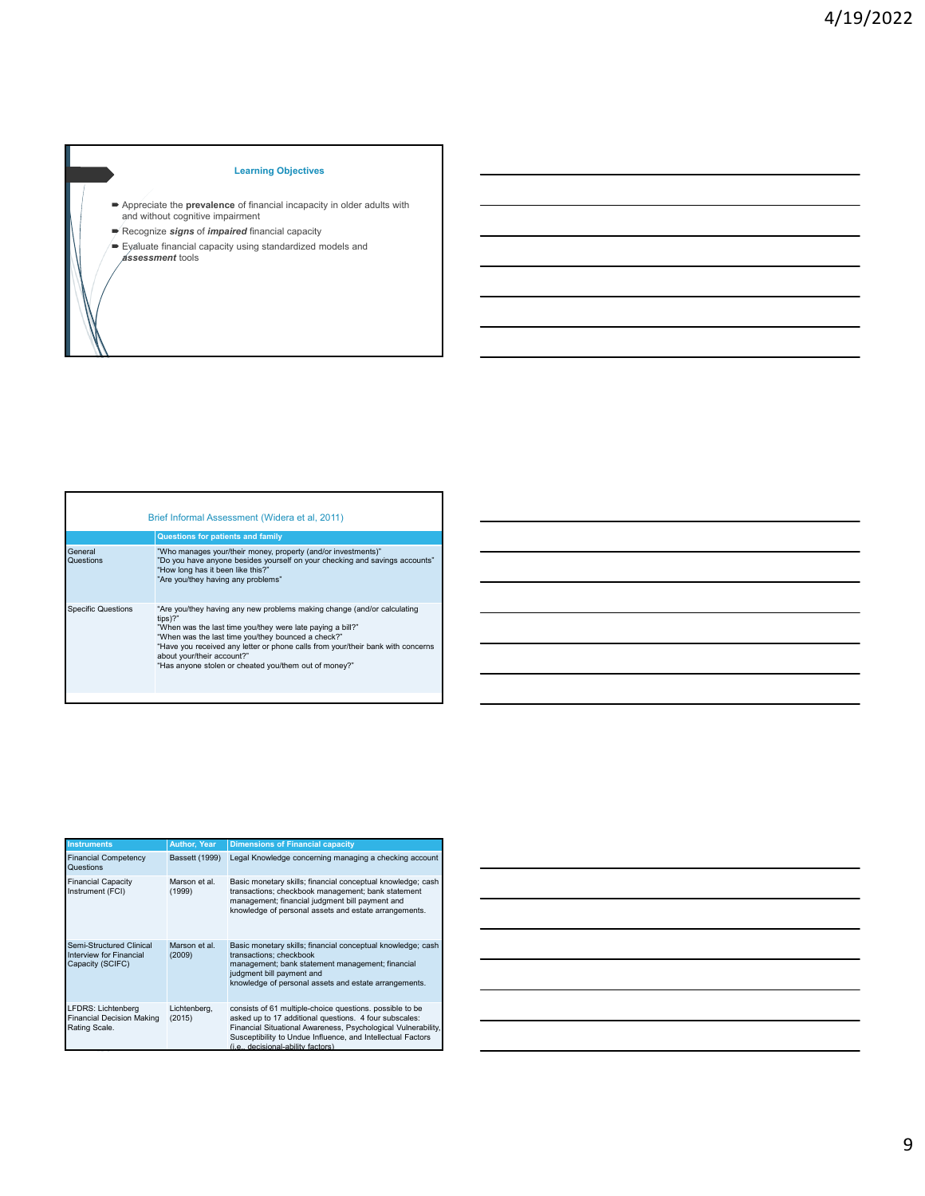## **Learning Objectives**

- Appreciate the **prevalence** of financial incapacity in older adults with and without cognitive impairment
- Recognize *signs* of *impaired* financial capacity
- Evaluate financial capacity using standardized models and *assessment* tools

|                           | Brief Informal Assessment (Widera et al, 2011)                                                                                                                                                                                                                                                                                                                                     |
|---------------------------|------------------------------------------------------------------------------------------------------------------------------------------------------------------------------------------------------------------------------------------------------------------------------------------------------------------------------------------------------------------------------------|
|                           | <b>Questions for patients and family</b>                                                                                                                                                                                                                                                                                                                                           |
| General<br>Questions      | "Who manages your/their money, property (and/or investments)"<br>"Do you have anyone besides yourself on your checking and savings accounts"<br>"How long has it been like this?"<br>"Are you/they having any problems"                                                                                                                                                            |
| <b>Specific Questions</b> | "Are you/they having any new problems making change (and/or calculating<br>$tips$ ?"<br>"When was the last time you/they were late paying a bill?"<br>"When was the last time you/they bounced a check?"<br>"Have you received any letter or phone calls from your/their bank with concerns<br>about your/their account?"<br>"Has anyone stolen or cheated you/them out of money?" |

 $\Gamma$ 

| <b>Instruments</b>                                                      | <b>Author, Year</b>     | <b>Dimensions of Financial capacity</b>                                                                                                                                                                                                                                                  |
|-------------------------------------------------------------------------|-------------------------|------------------------------------------------------------------------------------------------------------------------------------------------------------------------------------------------------------------------------------------------------------------------------------------|
| <b>Financial Competency</b><br>Questions                                | <b>Bassett (1999)</b>   | Legal Knowledge concerning managing a checking account                                                                                                                                                                                                                                   |
| <b>Financial Capacity</b><br>Instrument (FCI)                           | Marson et al.<br>(1999) | Basic monetary skills; financial conceptual knowledge; cash<br>transactions; checkbook management; bank statement<br>management; financial judgment bill payment and<br>knowledge of personal assets and estate arrangements.                                                            |
| Semi-Structured Clinical<br>Interview for Financial<br>Capacity (SCIFC) | Marson et al.<br>(2009) | Basic monetary skills; financial conceptual knowledge; cash<br>transactions; checkbook<br>management; bank statement management; financial<br>judgment bill payment and<br>knowledge of personal assets and estate arrangements.                                                         |
| LFDRS: Lichtenberg<br><b>Financial Decision Making</b><br>Rating Scale. | Lichtenberg,<br>(2015)  | consists of 61 multiple-choice questions, possible to be<br>asked up to 17 additional questions. 4 four subscales:<br>Financial Situational Awareness, Psychological Vulnerability,<br>Susceptibility to Undue Influence, and Intellectual Factors<br>(i.e., decisional-ability factors) |

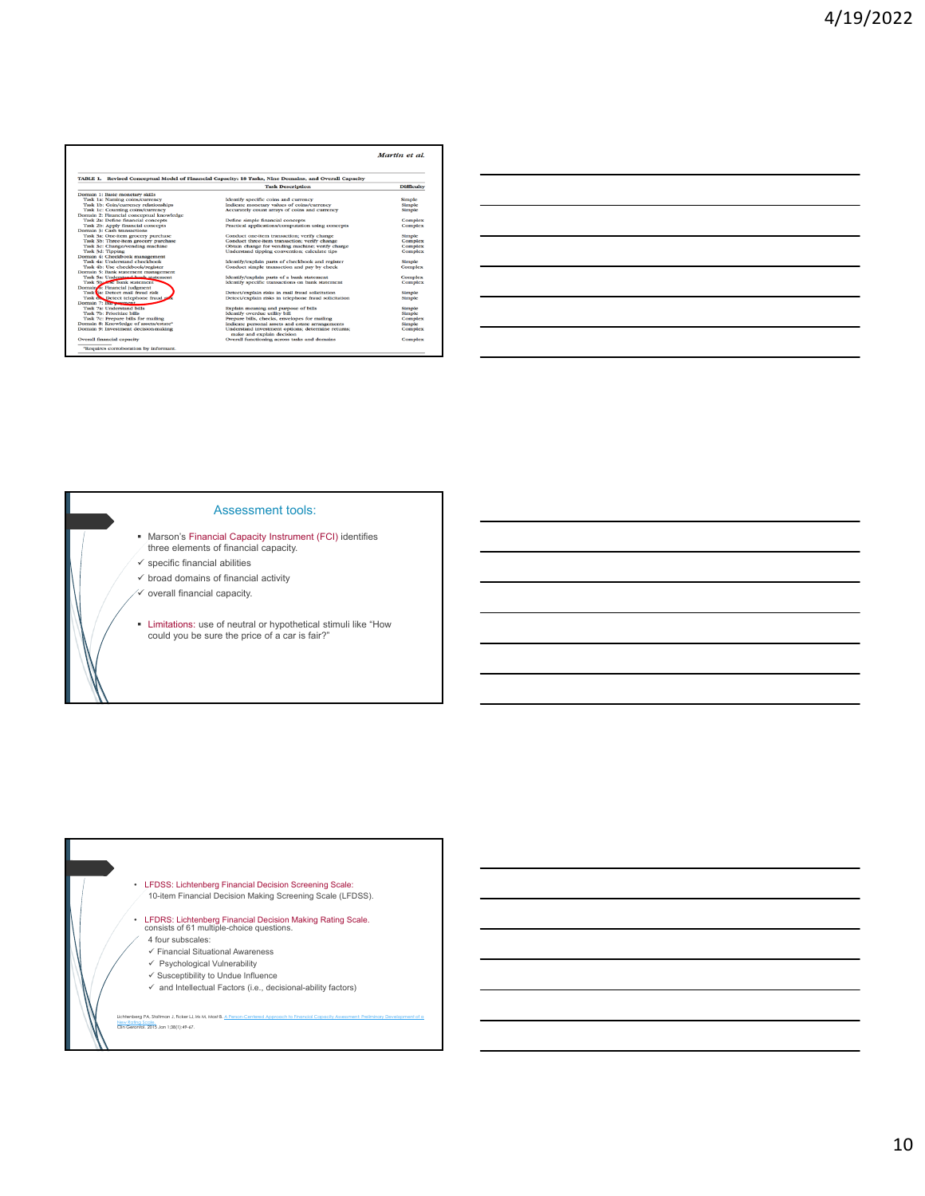|                                                   |                                                                                                       | Martin et al.     |
|---------------------------------------------------|-------------------------------------------------------------------------------------------------------|-------------------|
|                                                   | TABLE 1. Revised Conceptual Model of Financial Capacity: 18 Tasks, Nine Domains, and Overall Capacity |                   |
|                                                   | <b>Task Description</b>                                                                               | <b>Difficulty</b> |
| Domain 1: Basic monetary skills                   |                                                                                                       |                   |
| Task 1a: Naming coins/currency                    | Identify specific coins and currency                                                                  | Simple            |
| Task 1b: Coin/currency relationships              | Indicate monetary values of coins/currency                                                            | Simple            |
| Task 1c: Counting coins/currency                  | Accurately count arrays of coins and currency                                                         | Simple            |
| Domain 2: Financial conceptual knowledge          |                                                                                                       |                   |
| Task 2a: Define financial concepts                | Define simple financial concepts                                                                      | Complex           |
| Task 2b: Apply financial concepts                 | Practical applications/computation using concepts                                                     | Complex           |
| Domain 3: Cash transactions                       |                                                                                                       |                   |
| Task 3a: One-item grocery purchase                | Conduct one-item transaction; verify change                                                           | Simple            |
| Task 3b: Three-item grocery purchase              | Conduct three-item transaction; verify change                                                         | <b>Complex</b>    |
| Task 3c: Change/vending machine                   | Obtain change for vending machine: verify charge                                                      | Complex           |
| Task 3d: Tipping                                  | Understand tipping convention; calculate tips                                                         | Complex           |
| Domain 4: Checkbook management                    |                                                                                                       |                   |
| Task 4a: Understand checkbook                     | Identify/explain parts of checkbook and register                                                      | Simple            |
| Task 4b: Use checkbook/register                   | Conduct simple transaction and pay by check                                                           | Complex           |
| Domain 5: Bank statement management               |                                                                                                       |                   |
| Task 5a: Understand bank statement                | Identify/explain parts of a bank statement                                                            | Complex           |
| Task 5b: <b>Kanadia</b> statement                 | Identify specific transactions on bank statement                                                      | Complex           |
| Domain o: Financial judgment                      |                                                                                                       |                   |
| Task Sa: Detect mail fraud risk                   | Detect/explain risks in mail fraud solicitation                                                       | Simple            |
| Task one Detect telephone fraud ris               | Detect/explain risks in telephone fraud solicitation                                                  | Simple            |
| Domain 7: Bur wwment                              |                                                                                                       |                   |
| Task 7a: Understand bills                         | Explain meaning and purpose of bills                                                                  | Simple            |
| Task 7b: Prioritize bills                         | <b>Identify overdue utility bill</b>                                                                  | Simple            |
| Task 7c: Prepare bills for mailing                | Prepare bills, checks, envelopes for mailing                                                          | Complex           |
| Domain 8: Knowledge of assets/estate <sup>a</sup> | Indicate personal assets and estate arrangements                                                      | Simple            |
| Domain 9: Investment decision-making              | Understand investment options; determine returns;<br>make and explain decision                        | Complex           |
| Overall financial capacity                        | Overall functioning across tasks and domains                                                          | Complex           |
| "Requires corroboration by informant.             |                                                                                                       |                   |

| <u> 1989 - Johann Barn, mars and de Brazilian (b. 1989)</u>                                                           |  |            |  |
|-----------------------------------------------------------------------------------------------------------------------|--|------------|--|
| <u> 1989 - Johann Stoff, deutscher Stoff, der Stoff, der Stoff, der Stoff, der Stoff, der Stoff, der Stoff, der S</u> |  | __________ |  |
| <u> 1989 - Jan Barat, margaret amerikan basa dan berasal dan berasal dalam berasal dalam berasal dalam berasal da</u> |  |            |  |
| <u> 1989 - Andrea Andrew Maria (h. 1989).</u>                                                                         |  |            |  |
| <u> 1989 - Andrea Andrew Maria (h. 1989).</u>                                                                         |  |            |  |
|                                                                                                                       |  |            |  |

 $\overline{\phantom{0}}$ 

#### Assessment tools:

- Marson's Financial Capacity Instrument (FCI) identifies three elements of financial capacity.
- $\checkmark$  specific financial abilities
- $\checkmark$  broad domains of financial activity
- $\checkmark$  overall financial capacity.
- Limitations: use of neutral or hypothetical stimuli like "How could you be sure the price of a car is fair?"

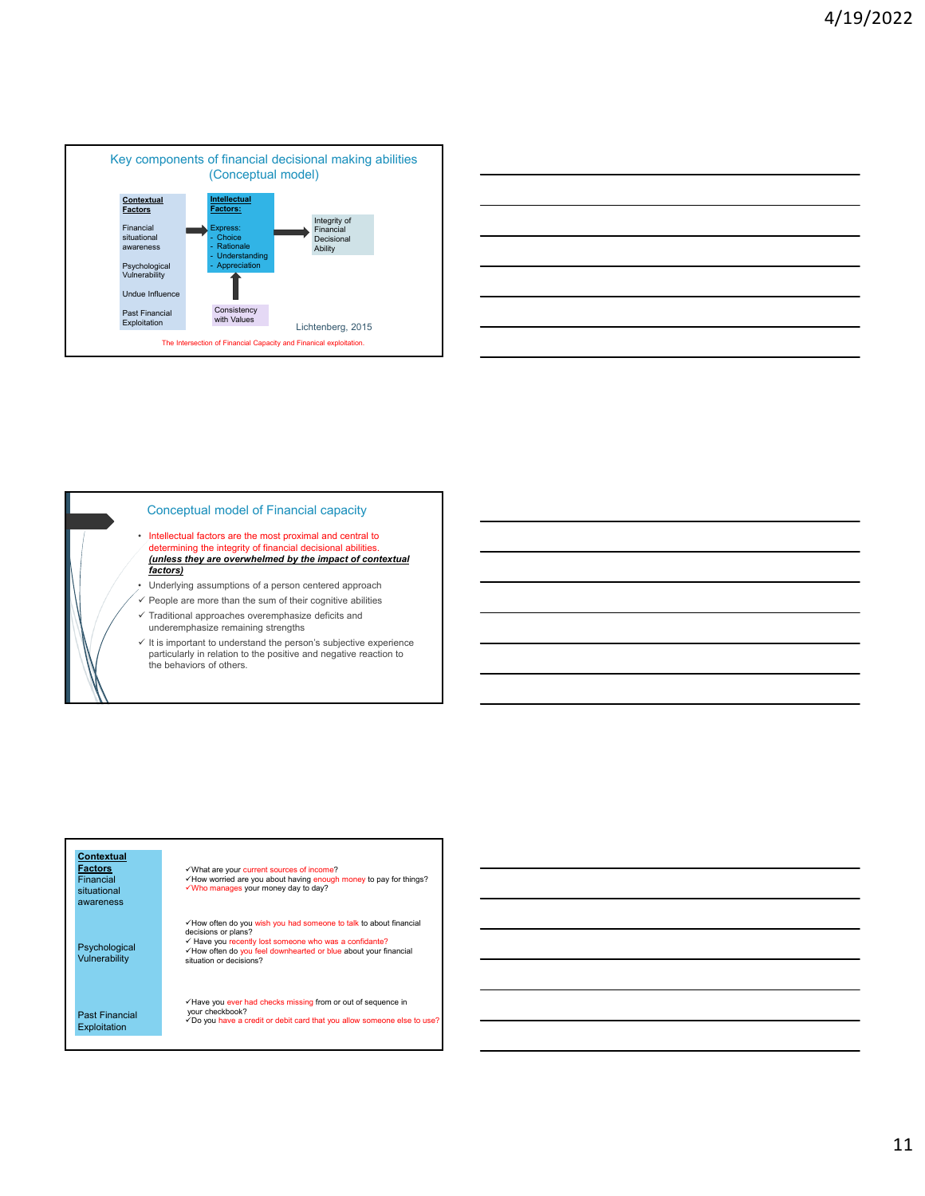



#### Conceptual model of Financial capacity

- Intellectual factors are the most proximal and central to determining the integrity of financial decisional abilities. *(unless they are overwhelmed by the impact of contextual factors)*
- Underlying assumptions of a person centered approach
- $\checkmark$  People are more than the sum of their cognitive abilities
- $\checkmark$  Traditional approaches overemphasize deficits and underemphasize remaining strengths
- $\checkmark$  It is important to understand the person's subjective experience particularly in relation to the positive and negative reaction to the behaviors of others.

#### **Contextual Factors Financial** situational awareness Psychological Vulnerability Past Financial Exploitation What are your current sources of income? ✓How worried are you about having enough money to pay for things?<br>✓Who manages your money day to day? How often do you wish you had someone to talk to about financial decisions or plans?<br>✓ Have you recently lost someone who was a confidante?<br>✓ How often do you feel downhearted or blue about your financial situation or decisions? Have you ever had checks missing from or out of sequence in your checkbook?<br>√Do you have a credit or debit card that you allow someone else to use?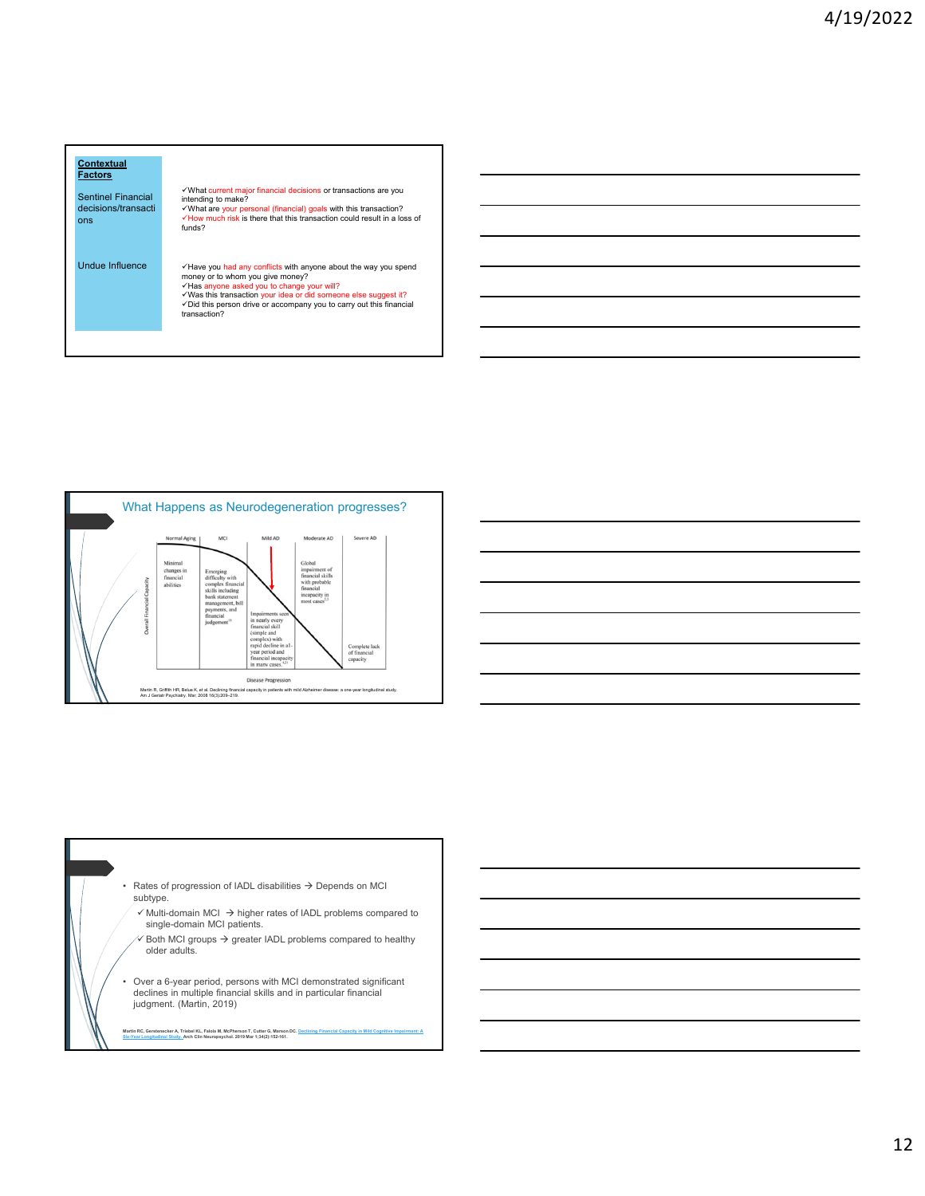







12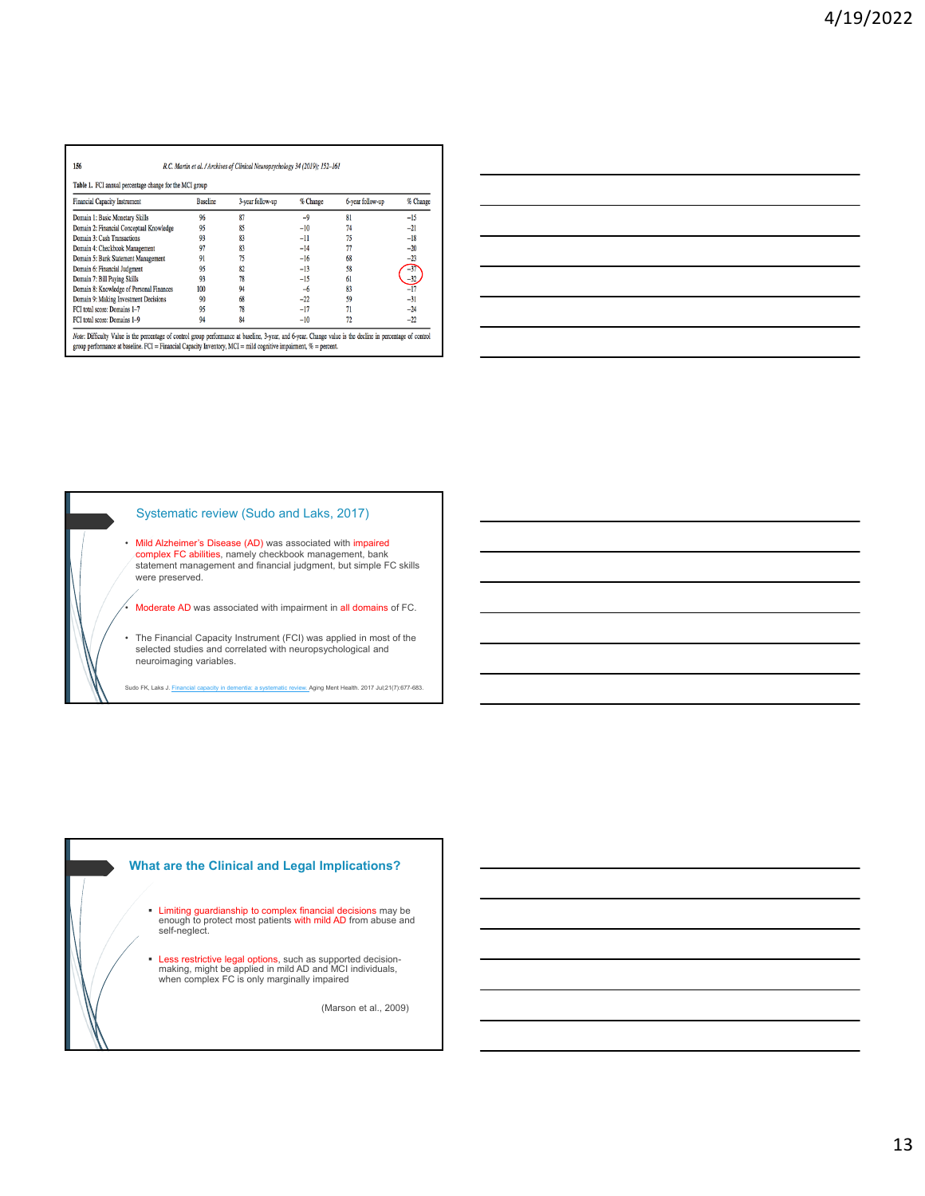| Table 1. FCI annual percentage change for the MCI group |                 |                  |          |                  |          |
|---------------------------------------------------------|-----------------|------------------|----------|------------------|----------|
| Financial Capacity Instrument                           | <b>Baseline</b> | 3-year follow-up | % Change | 6-year follow-up | % Change |
| Domain 1: Basic Monetary Skills                         | 96              | 87               | $-9$     | 81               | $-15$    |
| Domain 2: Financial Conceptual Knowledge                | 95              | 85               | $-10$    | 74               | $-21$    |
| Domain 3: Cash Transactions                             | 93              | 83               | -11      | 75               | $-18$    |
| Domain 4: Checkbook Management                          | 97              | 83               | $-14$    | 77               | $-20$    |
| Domain 5: Bank Statement Management                     | 91              | 75               | $-16$    | 68               | $-23$    |
| Domain 6: Financial Judgment                            | 95              | 82               | $-13$    | 58               | $-37$    |
| Domain 7: Bill Paving Skills                            | 93              | 78               | $-15$    | 61               | $-32$    |
| Domain 8: Knowledge of Personal Finances                | 100             | 94               | $-6$     | 83               |          |
| Domain 9: Making Investment Decisions                   | 90              | 68               | $-22$    | 59               | $-31$    |
| FCI total score: Domains 1-7                            | 95              | 78               | $-17$    | 71               | $-24$    |
| FCI total score: Domains 1-9                            | 94              | 84               | $-10$    | 72               | $-22$    |

| <u> 1989 - Johann Stoff, deutscher Stoff, der Stoff, der Stoff, der Stoff, der Stoff, der Stoff, der Stoff, der S</u> |  |  |
|-----------------------------------------------------------------------------------------------------------------------|--|--|
| <u> 1989 - Johann Stoff, amerikansk politiker (d. 1989)</u>                                                           |  |  |
| <u> 1989 - Andrea Andrew Maria (h. 1989).</u>                                                                         |  |  |
| <u> 1989 - Andrea Santa Andrea Andrea Andrea Andrea Andrea Andrea Andrea Andrea Andrea Andrea Andrea Andrea Andr</u>  |  |  |
| <u> 1989 - Andrea Santa Andrea Andrea Andrea Andrea Andrea Andrea Andrea Andrea Andrea Andrea Andrea Andrea Andr</u>  |  |  |
| <u> 1989 - Johann Stoff, amerikansk politiker (d. 1989)</u>                                                           |  |  |
|                                                                                                                       |  |  |

L.

## Systematic review (Sudo and Laks, 2017)

• Mild Alzheimer's Disease (AD) was associated with impaired complex FC abilities, namely checkbook management, bank statement management and financial judgment, but simple FC skills were preserved.

• Moderate AD was associated with impairment in all domains of FC.

• The Financial Capacity Instrument (FCI) was applied in most of the selected studies and correlated with neuropsychological and neuroimaging variables.

Sudo FK, Laks J. Financial capacity in dementia: a systematic review. Aging Ment Health. 2017 Jul;21(7):677-683.

# **What are the Clinical and Legal Implications?**

- Limiting guardianship to complex financial decisions may be enough to protect most patients with mild AD from abuse and self-neglect.
- **Eess restrictive legal options**, such as supported decision-<br>making, might be applied in mild AD and MCI individuals,<br>when complex FC is only marginally impaired

(Marson et al., 2009)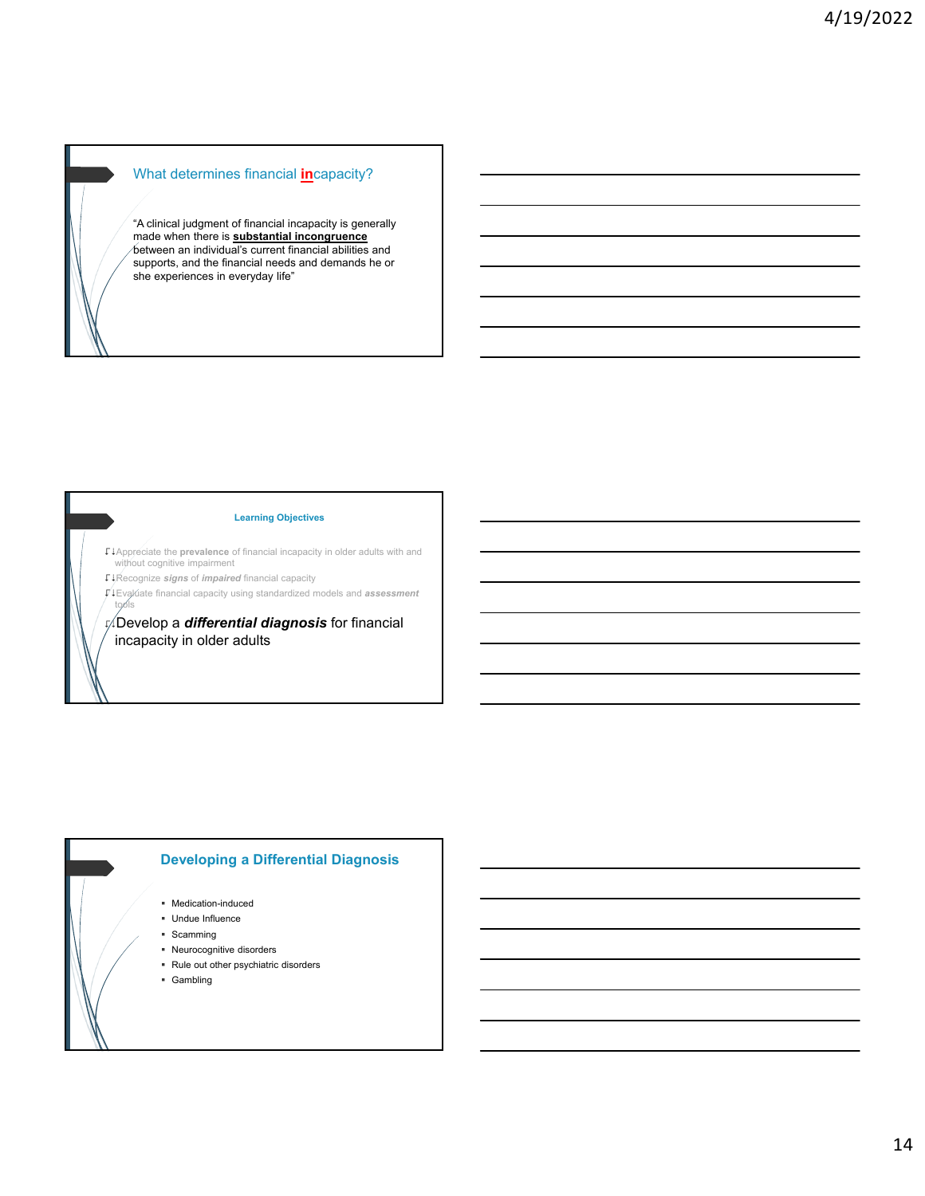# What determines financial **in**capacity?

"A clinical judgment of financial incapacity is generally made when there is **substantial incongruence** between an individual's current financial abilities and supports, and the financial needs and demands he or she experiences in everyday life"

#### **Learning Objectives**

Appreciate the **prevalence** of financial incapacity in older adults with and without cognitive impairment

Recognize *signs* of *impaired* financial capacity

Evaluate financial capacity using standardized models and *assessment* tools

Develop a *differential diagnosis* for financial incapacity in older adults

# **Developing a Differential Diagnosis**

- Medication-induced
- Undue Influence
- **Scamming**
- Neurocognitive disorders Rule out other psychiatric disorders
- Gambling
-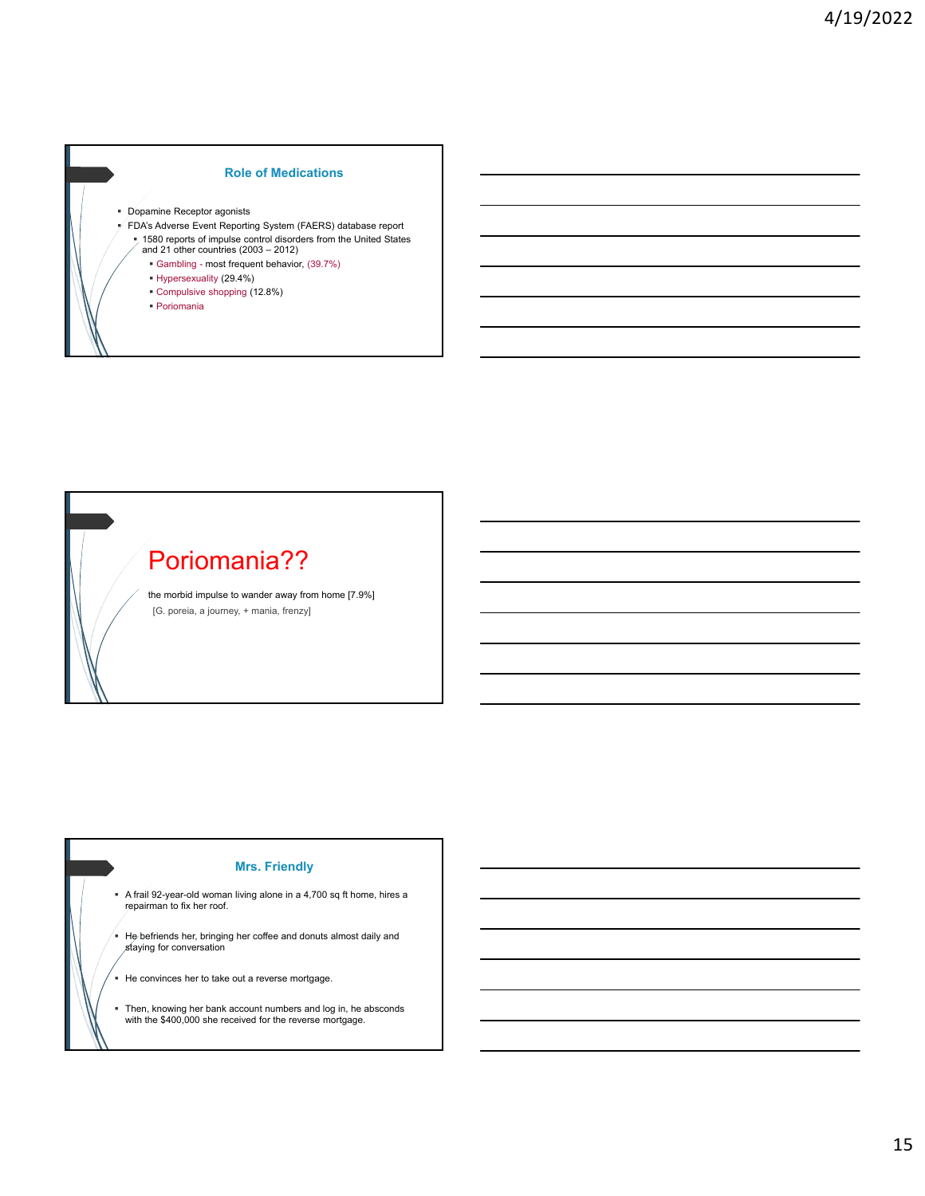## **Role of Medications**

- Dopamine Receptor agonists
- FDA's Adverse Event Reporting System (FAERS) database report
	- 1580 reports of impulse control disorders from the United States and 21 other countries (2003 2012)
		- Gambling most frequent behavior, (39.7%)
		- Hypersexuality (29.4%)
		- Compulsive shopping (12.8%)
	- Poriomania



## **Mrs. Friendly**

- A frail 92-year-old woman living alone in a 4,700 sq ft home, hires a repairman to fix her roof.
- He befriends her, bringing her coffee and donuts almost daily and staying for conversation
- He convinces her to take out a reverse mortgage.
- Then, knowing her bank account numbers and log in, he absconds with the \$400,000 she received for the reverse mortgage.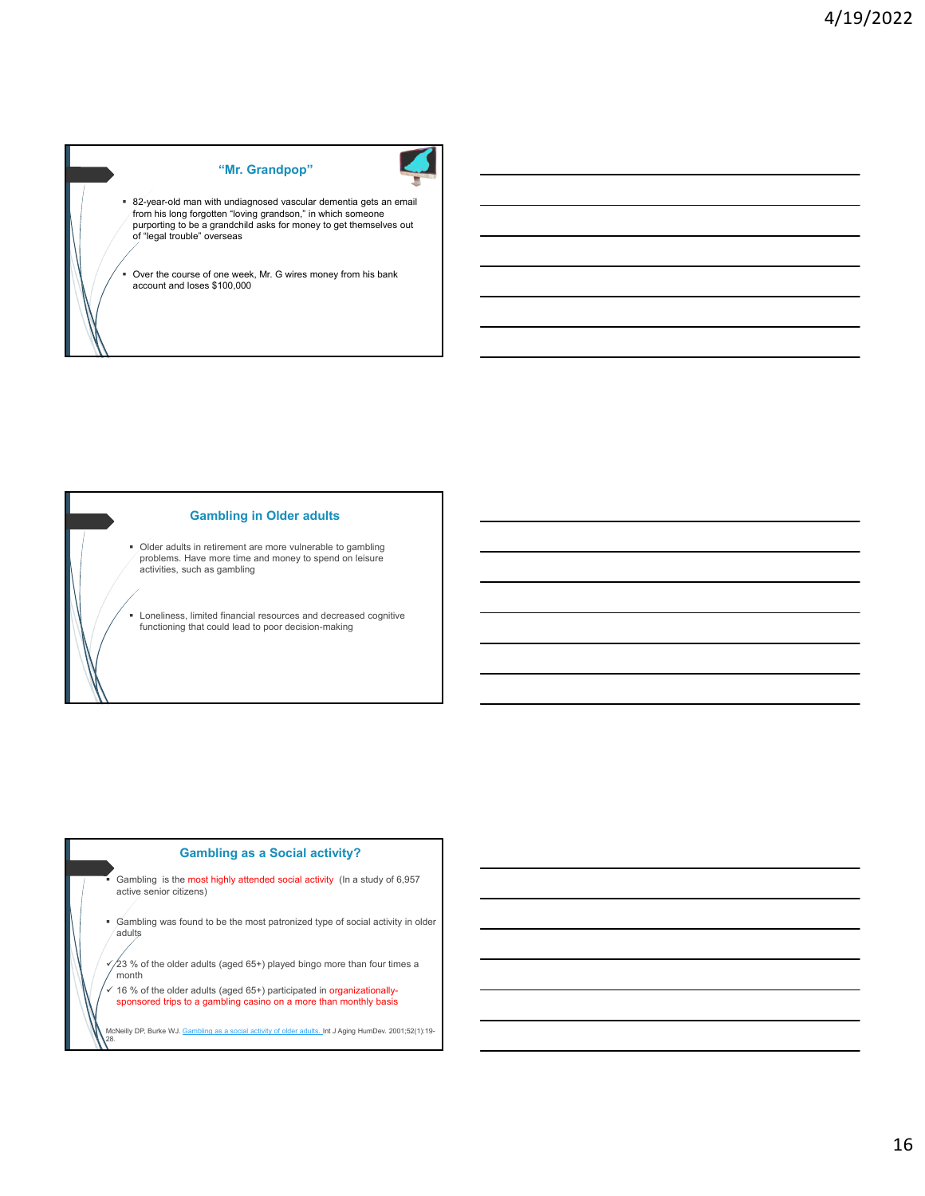# **"Mr. Grandpop"**



Over the course of one week, Mr. G wires money from his bank account and loses \$100,000

# **Gambling in Older adults**

 Older adults in retirement are more vulnerable to gambling problems. Have more time and money to spend on leisure activities, such as gambling

Loneliness, limited financial resources and decreased cognitive functioning that could lead to poor decision-making

## **Gambling as a Social activity?**

 Gambling is the most highly attended social activity (In a study of 6,957 active senior citizens)

 Gambling was found to be the most patronized type of social activity in older adults

 $\sqrt{23}$  % of the older adults (aged 65+) played bingo more than four times a month

 $\frac{\sqrt{16}}{8}$  of the older adults (aged 65+) participated in organizationally-<br>sponsored trips to a gambling casino on a more than monthly basis

McNeilly DP, Burke WJ. <u>Gambling as a social activity of older adults. I</u>nt J Aging HumDev. 2001;52(1):19-<br>28.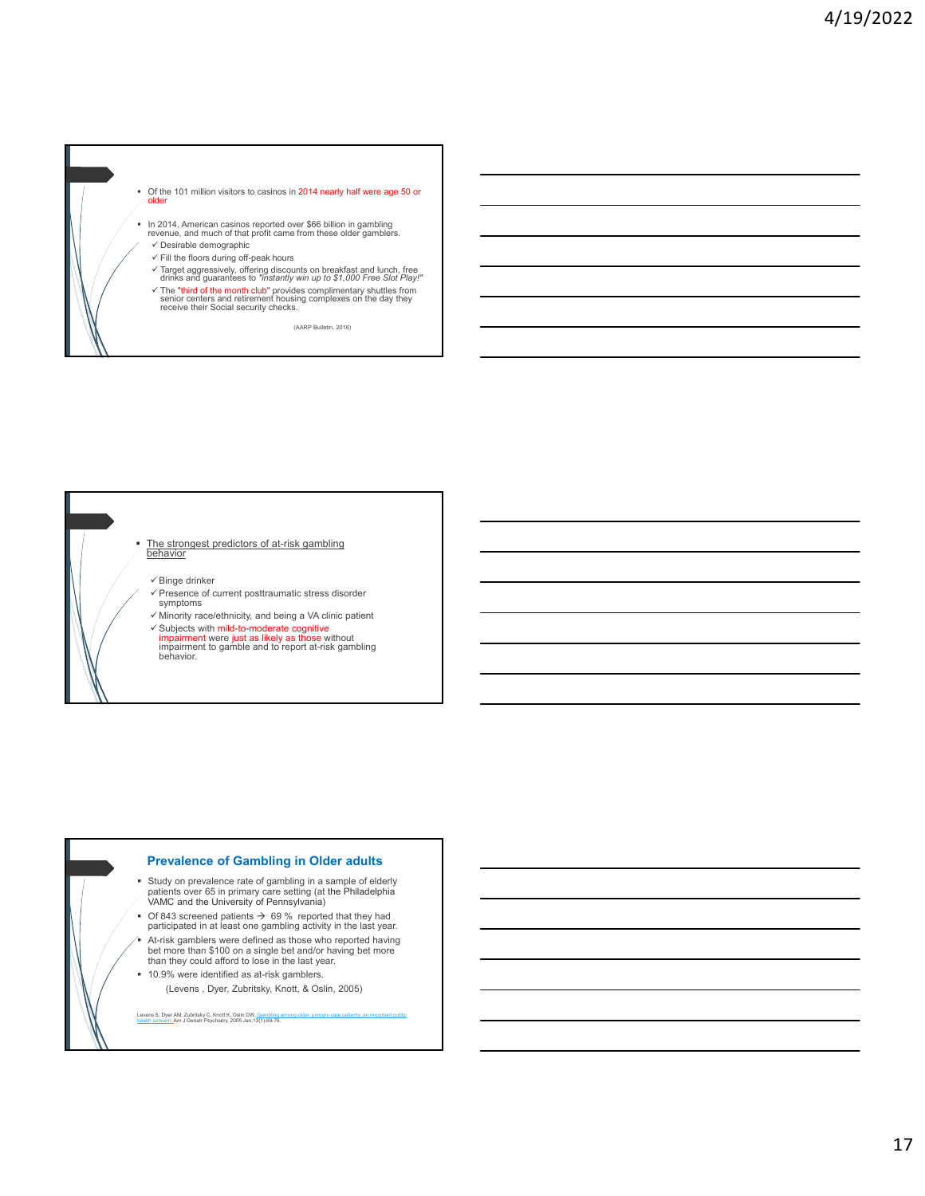

- 
- $\checkmark$  The "third of the month club" provides complimentary shuttles from senior centers and retirement housing complexes on the day they receive their Social security checks.

(AARP Bulletin, 2016)



#### **Prevalence of Gambling in Older adults**

- $\blacksquare$  Study on prevalence rate of gambling in a sample of elderly<br>  $\blacksquare$  patients over 65 in primary care setting (at the Philadelphia<br>
VAMC and the University of Pennsylvania)
- Of 843 screened patients  $\rightarrow$  69 % reported that they had participated in at least one gambling activity in the last year.
- At-risk gamblers were defined as those who reported having bet more than \$100 on a single bet and/or having bet more than they could afford to lose in the last year.
- <sup>10.9%</sup> were identified as at-risk gamblers. (Levens , Dyer, Zubritsky, Knott, & Oslin, 2005)

Levens S, Dyer AM, Zubritsky C, Knott K, Oslin DW. <u>Gambling among older, primary-care patients: an important public</u><br><u>health concern.</u>Am J Geriatr Psychiatry. 2005 Jan;13(1):69-76.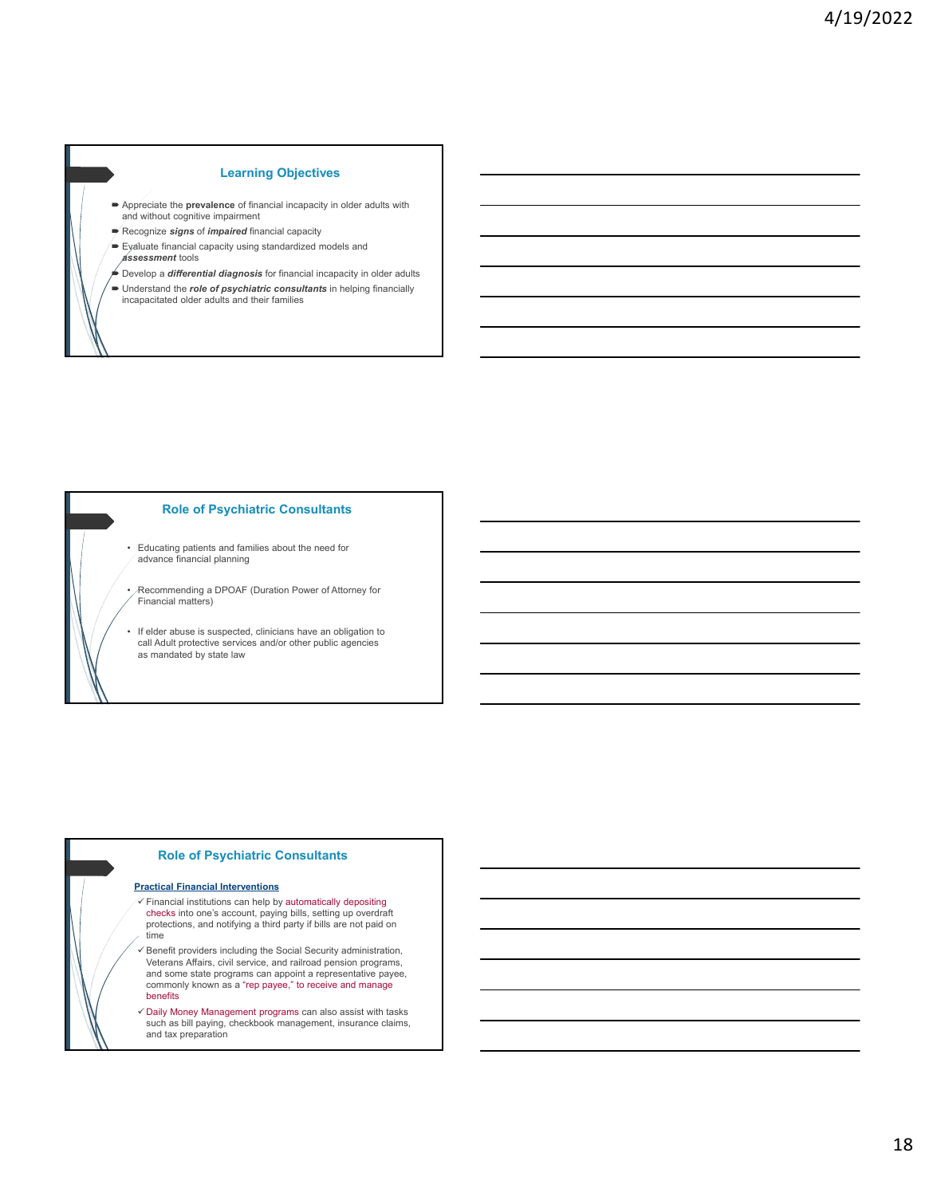# **Learning Objectives**

- Appreciate the **prevalence** of financial incapacity in older adults with and without cognitive impairment
- Recognize *signs* of *impaired* financial capacity
- $\blacktriangleright$  Eyaluate financial capacity using standardized models and
- *assessment* tools
- Develop a *differential diagnosis* for financial incapacity in older adults
- Understand the *role of psychiatric consultants* in helping financially incapacitated older adults and their families



#### **Role of Psychiatric Consultants**

- Educating patients and families about the need for advance financial planning
- Recommending a DPOAF (Duration Power of Attorney for Financial matters)
- If elder abuse is suspected, clinicians have an obligation to call Adult protective services and/or other public agencies as mandated by state law

## **Role of Psychiatric Consultants**

#### **Practical Financial Interventions**

- $\checkmark$  Financial institutions can help by automatically depositing checks into one's account, paying bills, setting up overdraft protections, and notifying a third party if bills are not paid on time
- $\checkmark$  Benefit providers including the Social Security administration, Veterans Affairs, civil service, and railroad pension programs, and some state programs can appoint a representative payee, commonly known as a "rep payee," to receive and manage benefits
- $\checkmark$  Daily Money Management programs can also assist with tasks such as bill paying, checkbook management, insurance claims, and tax preparation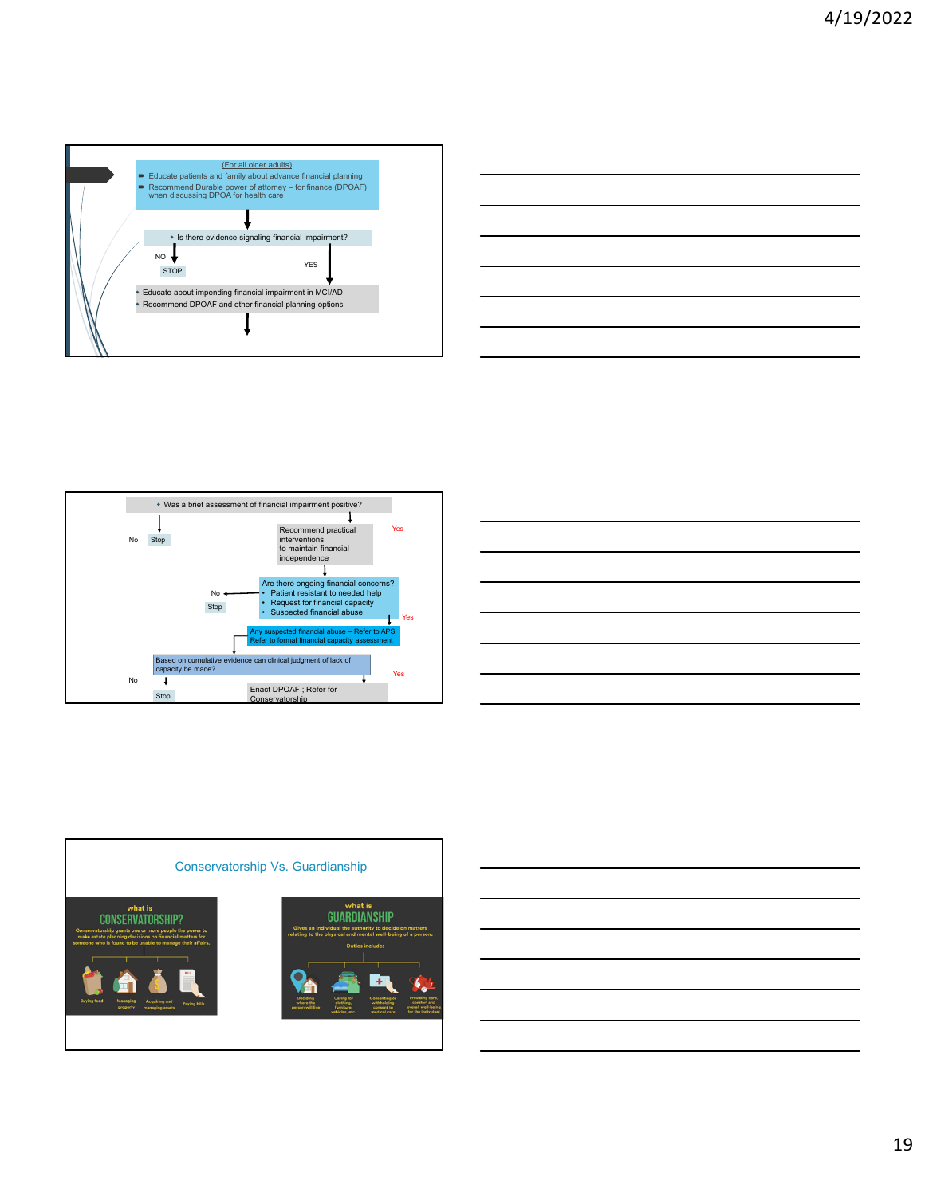